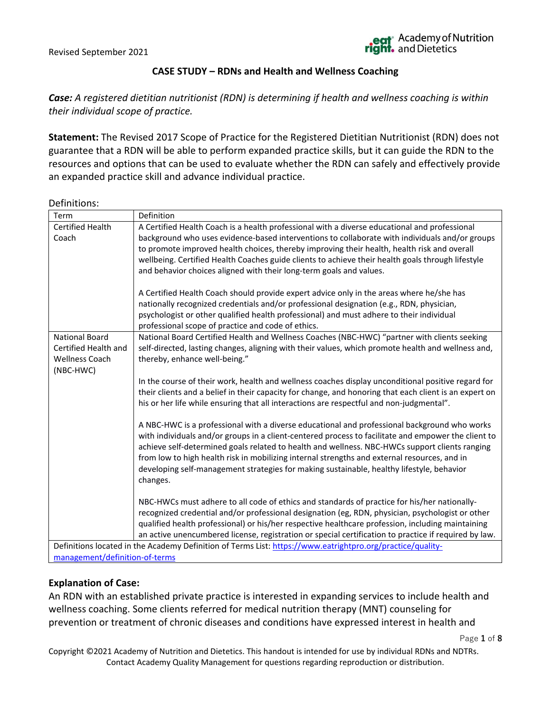#### **CASE STUDY – RDNs and Health and Wellness Coaching**

*Case: A registered dietitian nutritionist (RDN) is determining if health and wellness coaching is within their individual scope of practice.* 

**Statement:** The Revised 2017 Scope of Practice for the Registered Dietitian Nutritionist (RDN) does not guarantee that a RDN will be able to perform expanded practice skills, but it can guide the RDN to the resources and options that can be used to evaluate whether the RDN can safely and effectively provide an expanded practice skill and advance individual practice.

#### Definitions:

| Term                                                                                                       | Definition                                                                                                                                                                                                                                                                                                                                                                                                                                                                                                                                                                                                                                                                                                                                                                                                           |  |
|------------------------------------------------------------------------------------------------------------|----------------------------------------------------------------------------------------------------------------------------------------------------------------------------------------------------------------------------------------------------------------------------------------------------------------------------------------------------------------------------------------------------------------------------------------------------------------------------------------------------------------------------------------------------------------------------------------------------------------------------------------------------------------------------------------------------------------------------------------------------------------------------------------------------------------------|--|
| Certified Health<br>Coach                                                                                  | A Certified Health Coach is a health professional with a diverse educational and professional<br>background who uses evidence-based interventions to collaborate with individuals and/or groups<br>to promote improved health choices, thereby improving their health, health risk and overall<br>wellbeing. Certified Health Coaches guide clients to achieve their health goals through lifestyle<br>and behavior choices aligned with their long-term goals and values.<br>A Certified Health Coach should provide expert advice only in the areas where he/she has<br>nationally recognized credentials and/or professional designation (e.g., RDN, physician,<br>psychologist or other qualified health professional) and must adhere to their individual<br>professional scope of practice and code of ethics. |  |
| <b>National Board</b><br>Certified Health and<br><b>Wellness Coach</b><br>(NBC-HWC)                        | National Board Certified Health and Wellness Coaches (NBC-HWC) "partner with clients seeking<br>self-directed, lasting changes, aligning with their values, which promote health and wellness and,<br>thereby, enhance well-being."                                                                                                                                                                                                                                                                                                                                                                                                                                                                                                                                                                                  |  |
|                                                                                                            | In the course of their work, health and wellness coaches display unconditional positive regard for<br>their clients and a belief in their capacity for change, and honoring that each client is an expert on<br>his or her life while ensuring that all interactions are respectful and non-judgmental".                                                                                                                                                                                                                                                                                                                                                                                                                                                                                                             |  |
|                                                                                                            | A NBC-HWC is a professional with a diverse educational and professional background who works<br>with individuals and/or groups in a client-centered process to facilitate and empower the client to<br>achieve self-determined goals related to health and wellness. NBC-HWCs support clients ranging<br>from low to high health risk in mobilizing internal strengths and external resources, and in<br>developing self-management strategies for making sustainable, healthy lifestyle, behavior<br>changes.                                                                                                                                                                                                                                                                                                       |  |
|                                                                                                            | NBC-HWCs must adhere to all code of ethics and standards of practice for his/her nationally-<br>recognized credential and/or professional designation (eg, RDN, physician, psychologist or other<br>qualified health professional) or his/her respective healthcare profession, including maintaining<br>an active unencumbered license, registration or special certification to practice if required by law.                                                                                                                                                                                                                                                                                                                                                                                                       |  |
| Definitions located in the Academy Definition of Terms List: https://www.eatrightpro.org/practice/quality- |                                                                                                                                                                                                                                                                                                                                                                                                                                                                                                                                                                                                                                                                                                                                                                                                                      |  |
| management/definition-of-terms                                                                             |                                                                                                                                                                                                                                                                                                                                                                                                                                                                                                                                                                                                                                                                                                                                                                                                                      |  |

#### **Explanation of Case:**

An RDN with an established private practice is interested in expanding services to include health and wellness coaching. Some clients referred for medical nutrition therapy (MNT) counseling for prevention or treatment of chronic diseases and conditions have expressed interest in health and

Page **1** of **8**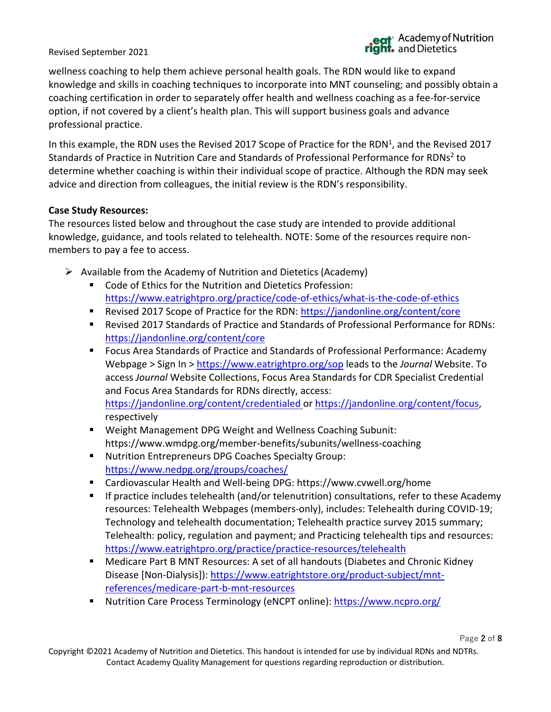wellness coaching to help them achieve personal health goals. The RDN would like to expand knowledge and skills in coaching techniques to incorporate into MNT counseling; and possibly obtain a coaching certification in order to separately offer health and wellness coaching as a fee-for-service option, if not covered by a client's health plan. This will support business goals and advance professional practice.

In this example, the RDN uses the Revised 2017 Scope of Practice for the RDN<sup>1</sup>, and the Revised 2017 Standards of Practice in Nutrition Care and Standards of Professional Performance for RDNs<sup>2</sup> to determine whether coaching is within their individual scope of practice. Although the RDN may seek advice and direction from colleagues, the initial review is the RDN's responsibility.

#### **Case Study Resources:**

The resources listed below and throughout the case study are intended to provide additional knowledge, guidance, and tools related to telehealth. NOTE: Some of the resources require nonmembers to pay a fee to access.

- $\triangleright$  Available from the Academy of Nutrition and Dietetics (Academy)
	- Code of Ethics for the Nutrition and Dietetics Profession: <https://www.eatrightpro.org/practice/code-of-ethics/what-is-the-code-of-ethics>
	- Revised 2017 Scope of Practice for the RDN:<https://jandonline.org/content/core>
	- Revised 2017 Standards of Practice and Standards of Professional Performance for RDNs: <https://jandonline.org/content/core>
	- Focus Area Standards of Practice and Standards of Professional Performance: Academy Webpage > Sign In ><https://www.eatrightpro.org/sop> leads to the *Journal* Website. To access *Journal* Website Collections, Focus Area Standards for CDR Specialist Credential and Focus Area Standards for RDNs directly, access: <https://jandonline.org/content/credentialed> or [https://jandonline.org/content/focus,](https://jandonline.org/content/focus) respectively
	- Weight Management DPG Weight and Wellness Coaching Subunit: https://www.wmdpg.org/member-benefits/subunits/wellness-coaching
	- Nutrition Entrepreneurs DPG Coaches Specialty Group: <https://www.nedpg.org/groups/coaches/>
	- Cardiovascular Health and Well-being DPG: https://www.cvwell.org/home
	- **■** If practice includes telehealth (and/or telenutrition) consultations, refer to these Academy resources: Telehealth Webpages (members-only), includes: Telehealth during COVID-19; Technology and telehealth documentation; Telehealth practice survey 2015 summary; Telehealth: policy, regulation and payment; and Practicing telehealth tips and resources: <https://www.eatrightpro.org/practice/practice-resources/telehealth>
	- Medicare Part B MNT Resources: A set of all handouts (Diabetes and Chronic Kidney Disease [Non-Dialysis]): [https://www.eatrightstore.org/product-subject/mnt](https://www.eatrightstore.org/product-subject/mnt-references/medicare-part-b-mnt-resources)[references/medicare-part-b-mnt-resources](https://www.eatrightstore.org/product-subject/mnt-references/medicare-part-b-mnt-resources)
	- Nutrition Care Process Terminology (eNCPT online): <https://www.ncpro.org/>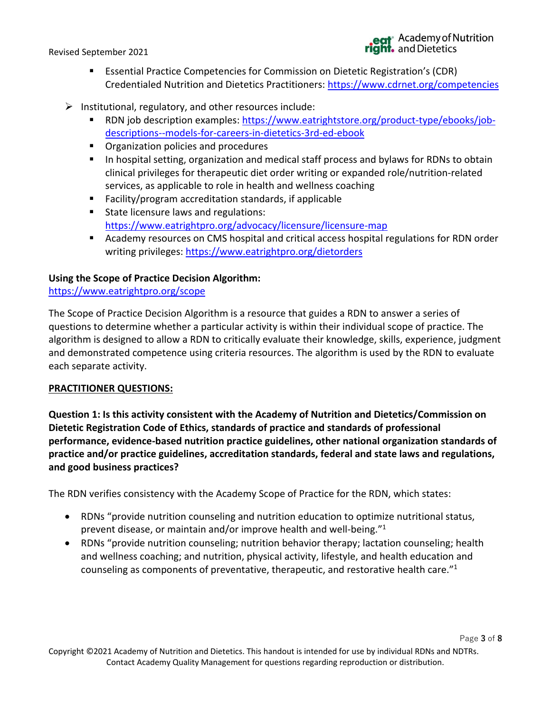Page **3** of **8**

- Essential Practice Competencies for Commission on Dietetic Registration's (CDR) Credentialed Nutrition and Dietetics Practitioners:<https://www.cdrnet.org/competencies>
- $\triangleright$  Institutional, regulatory, and other resources include:
	- RDN job description examples: [https://www.eatrightstore.org/product-type/ebooks/job](https://www.eatrightstore.org/product-type/ebooks/job-descriptions--models-for-careers-in-dietetics-3rd-ed-ebook)[descriptions--models-for-careers-in-dietetics-3rd-ed-ebook](https://www.eatrightstore.org/product-type/ebooks/job-descriptions--models-for-careers-in-dietetics-3rd-ed-ebook)
	- Organization policies and procedures
	- In hospital setting, organization and medical staff process and bylaws for RDNs to obtain clinical privileges for therapeutic diet order writing or expanded role/nutrition-related services, as applicable to role in health and wellness coaching
	- Facility/program accreditation standards, if applicable
	- State licensure laws and regulations: <https://www.eatrightpro.org/advocacy/licensure/licensure-map>
	- Academy resources on CMS hospital and critical access hospital regulations for RDN order writing privileges:<https://www.eatrightpro.org/dietorders>

## **Using the Scope of Practice Decision Algorithm:**

<https://www.eatrightpro.org/scope>

The Scope of Practice Decision Algorithm is a resource that guides a RDN to answer a series of questions to determine whether a particular activity is within their individual scope of practice. The algorithm is designed to allow a RDN to critically evaluate their knowledge, skills, experience, judgment and demonstrated competence using criteria resources. The algorithm is used by the RDN to evaluate each separate activity.

## **PRACTITIONER QUESTIONS:**

**Question 1: Is this activity consistent with the Academy of Nutrition and Dietetics/Commission on Dietetic Registration Code of Ethics, standards of practice and standards of professional performance, evidence-based nutrition practice guidelines, other national organization standards of practice and/or practice guidelines, accreditation standards, federal and state laws and regulations, and good business practices?**

The RDN verifies consistency with the Academy Scope of Practice for the RDN, which states:

- RDNs "provide nutrition counseling and nutrition education to optimize nutritional status, prevent disease, or maintain and/or improve health and well-being." 1
- RDNs "provide nutrition counseling; nutrition behavior therapy; lactation counseling; health and wellness coaching; and nutrition, physical activity, lifestyle, and health education and counseling as components of preventative, therapeutic, and restorative health care."<sup>1</sup>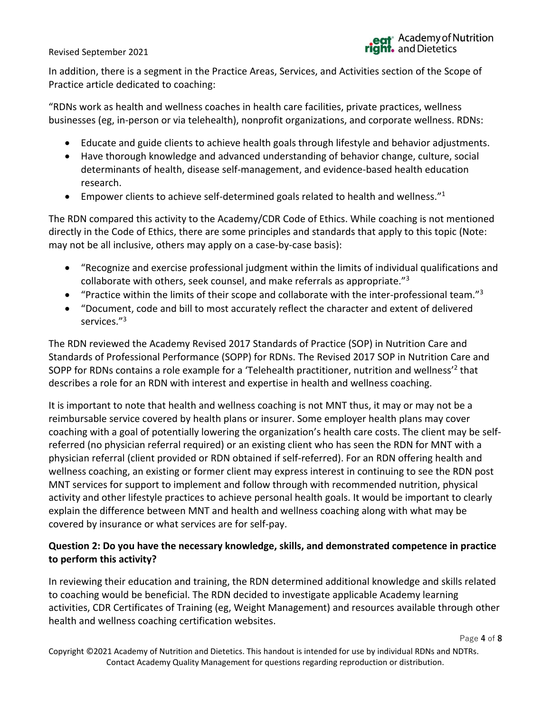In addition, there is a segment in the Practice Areas, Services, and Activities section of the Scope of Practice article dedicated to coaching:

"RDNs work as health and wellness coaches in health care facilities, private practices, wellness businesses (eg, in-person or via telehealth), nonprofit organizations, and corporate wellness. RDNs:

- Educate and guide clients to achieve health goals through lifestyle and behavior adjustments.
- Have thorough knowledge and advanced understanding of behavior change, culture, social determinants of health, disease self-management, and evidence-based health education research.
- Empower clients to achieve self-determined goals related to health and wellness."<sup>1</sup>

The RDN compared this activity to the Academy/CDR Code of Ethics. While coaching is not mentioned directly in the Code of Ethics, there are some principles and standards that apply to this topic (Note: may not be all inclusive, others may apply on a case-by-case basis):

- "Recognize and exercise professional judgment within the limits of individual qualifications and collaborate with others, seek counsel, and make referrals as appropriate."<sup>3</sup>
- "Practice within the limits of their scope and collaborate with the inter-professional team." $3$
- "Document, code and bill to most accurately reflect the character and extent of delivered services." 3

The RDN reviewed the Academy Revised 2017 Standards of Practice (SOP) in Nutrition Care and Standards of Professional Performance (SOPP) for RDNs. The Revised 2017 SOP in Nutrition Care and SOPP for RDNs contains a role example for a 'Telehealth practitioner, nutrition and wellness'<sup>2</sup> that describes a role for an RDN with interest and expertise in health and wellness coaching.

It is important to note that health and wellness coaching is not MNT thus, it may or may not be a reimbursable service covered by health plans or insurer. Some employer health plans may cover coaching with a goal of potentially lowering the organization's health care costs. The client may be selfreferred (no physician referral required) or an existing client who has seen the RDN for MNT with a physician referral (client provided or RDN obtained if self-referred). For an RDN offering health and wellness coaching, an existing or former client may express interest in continuing to see the RDN post MNT services for support to implement and follow through with recommended nutrition, physical activity and other lifestyle practices to achieve personal health goals. It would be important to clearly explain the difference between MNT and health and wellness coaching along with what may be covered by insurance or what services are for self-pay.

## **Question 2: Do you have the necessary knowledge, skills, and demonstrated competence in practice to perform this activity?**

In reviewing their education and training, the RDN determined additional knowledge and skills related to coaching would be beneficial. The RDN decided to investigate applicable Academy learning activities, CDR Certificates of Training (eg, Weight Management) and resources available through other health and wellness coaching certification websites.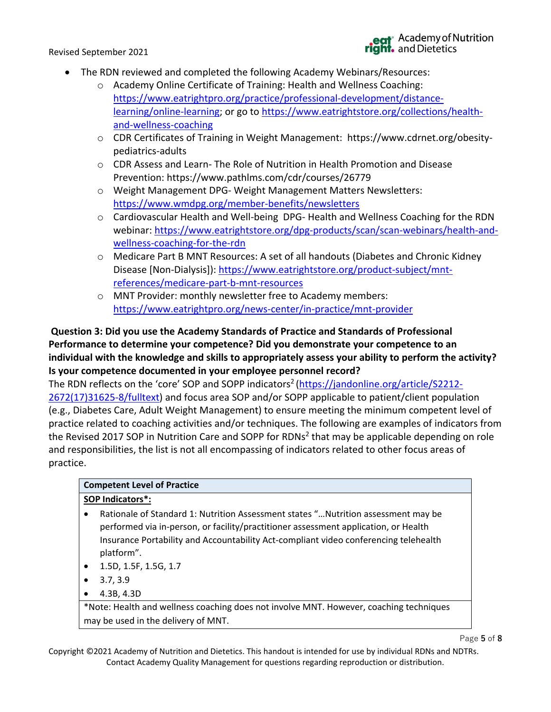- The RDN reviewed and completed the following Academy Webinars/Resources:
	- o Academy Online Certificate of Training: Health and Wellness Coaching: [https://www.eatrightpro.org/practice/professional-development/distance](https://www.eatrightpro.org/practice/professional-development/distance-learning/online-learning)[learning/online-learning;](https://www.eatrightpro.org/practice/professional-development/distance-learning/online-learning) or go to https://www.eatrightstore.org/collections/healthand-wellness-coaching
	- o CDR Certificates of Training in Weight Management: https://www.cdrnet.org/obesitypediatrics-adults
	- $\circ$  CDR Assess and Learn- The Role of Nutrition in Health Promotion and Disease Prevention: https://www.pathlms.com/cdr/courses/26779
	- o Weight Management DPG- Weight Management Matters Newsletters: <https://www.wmdpg.org/member-benefits/newsletters>
	- o Cardiovascular Health and Well-being DPG- Health and Wellness Coaching for the RDN webinar: [https://www.eatrightstore.org/dpg-products/scan/scan-webinars/health-and](https://www.eatrightstore.org/dpg-products/scan/scan-webinars/health-and-wellness-coaching-for-the-rdn)[wellness-coaching-for-the-rdn](https://www.eatrightstore.org/dpg-products/scan/scan-webinars/health-and-wellness-coaching-for-the-rdn)
	- o Medicare Part B MNT Resources: A set of all handouts (Diabetes and Chronic Kidney Disease [Non-Dialysis]): [https://www.eatrightstore.org/product-subject/mnt](https://www.eatrightstore.org/product-subject/mnt-references/medicare-part-b-mnt-resources)[references/medicare-part-b-mnt-resources](https://www.eatrightstore.org/product-subject/mnt-references/medicare-part-b-mnt-resources)
	- o MNT Provider: monthly newsletter free to Academy members: <https://www.eatrightpro.org/news-center/in-practice/mnt-provider>

## **Question 3: Did you use the Academy Standards of Practice and Standards of Professional Performance to determine your competence? Did you demonstrate your competence to an individual with the knowledge and skills to appropriately assess your ability to perform the activity? Is your competence documented in your employee personnel record?**

The RDN reflects on the 'core' SOP and SOPP indicators<sup>2</sup> [\(https://jandonline.org/article/S2212-](https://jandonline.org/article/S2212-2672(17)31625-8/fulltext) [2672\(17\)31625-8/fulltext\)](https://jandonline.org/article/S2212-2672(17)31625-8/fulltext) and focus area SOP and/or SOPP applicable to patient/client population (e.g., Diabetes Care, Adult Weight Management) to ensure meeting the minimum competent level of practice related to coaching activities and/or techniques. The following are examples of indicators from the Revised 2017 SOP in Nutrition Care and SOPP for RDNs<sup>2</sup> that may be applicable depending on role and responsibilities, the list is not all encompassing of indicators related to other focus areas of practice.

# **Competent Level of Practice**

## **SOP Indicators\*:**

- Rationale of Standard 1: Nutrition Assessment states "…Nutrition assessment may be performed via in-person, or facility/practitioner assessment application, or Health Insurance Portability and Accountability Act-compliant video conferencing telehealth platform".
- 1.5D, 1.5F, 1.5G, 1.7
- $3.7, 3.9$
- 4.3B, 4.3D

\*Note: Health and wellness coaching does not involve MNT. However, coaching techniques may be used in the delivery of MNT.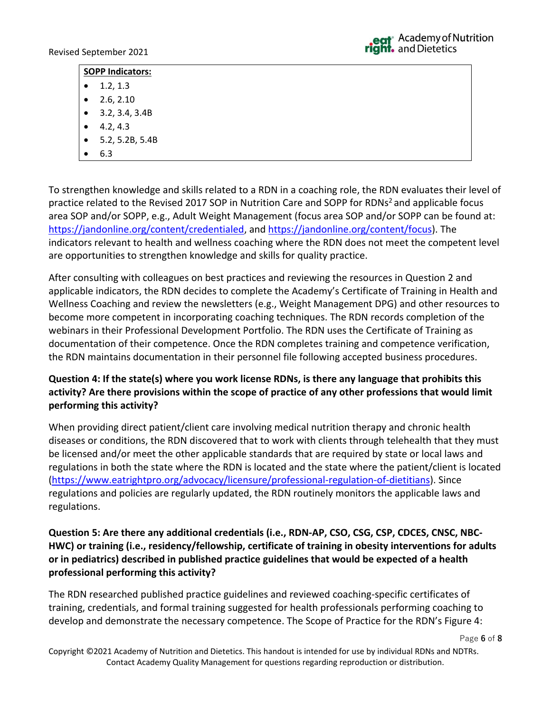#### **SOPP Indicators:**

- $\bullet$  1.2, 1.3
- $2.6, 2.10$
- $\bullet$  3.2, 3.4, 3.4B
- $4.2, 4.3$
- 5.2, 5.2B, 5.4B
- 6.3

To strengthen knowledge and skills related to a RDN in a coaching role, the RDN evaluates their level of practice related to the Revised 2017 SOP in Nutrition Care and SOPP for RDNs<sup>2</sup> and applicable focus area SOP and/or SOPP, e.g., Adult Weight Management (focus area SOP and/or SOPP can be found at: [https://jandonline.org/content/credentialed,](https://jandonline.org/content/credentialed) and [https://jandonline.org/content/focus\)](https://jandonline.org/content/focus). The indicators relevant to health and wellness coaching where the RDN does not meet the competent level are opportunities to strengthen knowledge and skills for quality practice.

After consulting with colleagues on best practices and reviewing the resources in Question 2 and applicable indicators, the RDN decides to complete the Academy's Certificate of Training in Health and Wellness Coaching and review the newsletters (e.g., Weight Management DPG) and other resources to become more competent in incorporating coaching techniques. The RDN records completion of the webinars in their Professional Development Portfolio. The RDN uses the Certificate of Training as documentation of their competence. Once the RDN completes training and competence verification, the RDN maintains documentation in their personnel file following accepted business procedures.

## **Question 4: If the state(s) where you work license RDNs, is there any language that prohibits this activity? Are there provisions within the scope of practice of any other professions that would limit performing this activity?**

When providing direct patient/client care involving medical nutrition therapy and chronic health diseases or conditions, the RDN discovered that to work with clients through telehealth that they must be licensed and/or meet the other applicable standards that are required by state or local laws and regulations in both the state where the RDN is located and the state where the patient/client is located [\(https://www.eatrightpro.org/advocacy/licensure/professional-regulation-of-dietitians\)](https://www.eatrightpro.org/advocacy/licensure/professional-regulation-of-dietitians). Since regulations and policies are regularly updated, the RDN routinely monitors the applicable laws and regulations.

## **Question 5: Are there any additional credentials (i.e., RDN-AP, CSO, CSG, CSP, CDCES, CNSC, NBC-HWC) or training (i.e., residency/fellowship, certificate of training in obesity interventions for adults or in pediatrics) described in published practice guidelines that would be expected of a health professional performing this activity?**

The RDN researched published practice guidelines and reviewed coaching-specific certificates of training, credentials, and formal training suggested for health professionals performing coaching to develop and demonstrate the necessary competence. The Scope of Practice for the RDN's Figure 4: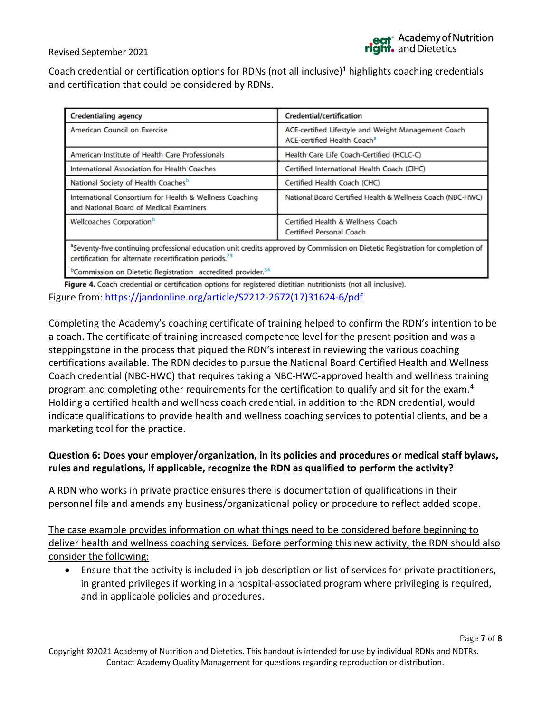Page **7** of **8**

Revised September 2021

Coach credential or certification options for RDNs (not all inclusive)<sup>1</sup> highlights coaching credentials and certification that could be considered by RDNs.

| <b>Credentialing agency</b>                                                                                                                                                                                                                                                                                                                                                                                                                                                         | <b>Credential/certification</b>                                                                |  |
|-------------------------------------------------------------------------------------------------------------------------------------------------------------------------------------------------------------------------------------------------------------------------------------------------------------------------------------------------------------------------------------------------------------------------------------------------------------------------------------|------------------------------------------------------------------------------------------------|--|
| American Council on Exercise                                                                                                                                                                                                                                                                                                                                                                                                                                                        | ACE-certified Lifestyle and Weight Management Coach<br>ACE-certified Health Coach <sup>a</sup> |  |
| American Institute of Health Care Professionals                                                                                                                                                                                                                                                                                                                                                                                                                                     | Health Care Life Coach-Certified (HCLC-C)                                                      |  |
| International Association for Health Coaches                                                                                                                                                                                                                                                                                                                                                                                                                                        | Certified International Health Coach (CIHC)                                                    |  |
| National Society of Health Coaches <sup>b</sup>                                                                                                                                                                                                                                                                                                                                                                                                                                     | Certified Health Coach (CHC)                                                                   |  |
| International Consortium for Health & Wellness Coaching<br>and National Board of Medical Examiners                                                                                                                                                                                                                                                                                                                                                                                  | National Board Certified Health & Wellness Coach (NBC-HWC)                                     |  |
| Wellcoaches Corporation <sup>b</sup>                                                                                                                                                                                                                                                                                                                                                                                                                                                | <b>Certified Health &amp; Wellness Coach</b><br><b>Certified Personal Coach</b>                |  |
| $a -$<br>the contract of the contract of the contract of the contract of the contract of the contract of the contract of<br>$\mathbf{r}$ , $\mathbf{r}$ , and $\mathbf{r}$ , and $\mathbf{r}$ , $\mathbf{r}$ , $\mathbf{r}$ , $\mathbf{r}$ , $\mathbf{r}$ , $\mathbf{r}$ , $\mathbf{r}$ , $\mathbf{r}$ , $\mathbf{r}$ , $\mathbf{r}$ , $\mathbf{r}$ , $\mathbf{r}$ , $\mathbf{r}$ , $\mathbf{r}$ , $\mathbf{r}$ , $\mathbf{r}$ , $\mathbf$<br>$\sim$ $\sim$<br>$\sim$ $\sim$ $\sim$ |                                                                                                |  |

<sup>3</sup>Seventy-five continuing professional education unit credits approved by Commission on Dietetic Registration for completion of certification for alternate recertification periods.<sup>23</sup>

<sup>b</sup>Commission on Dietetic Registration-accredited provider.<sup>34</sup>

Figure 4. Coach credential or certification options for registered dietitian nutritionists (not all inclusive). Figure from: [https://jandonline.org/article/S2212-2672\(17\)31624-6/pdf](https://jandonline.org/article/S2212-2672(17)31624-6/pdf)

Completing the Academy's coaching certificate of training helped to confirm the RDN's intention to be a coach. The certificate of training increased competence level for the present position and was a steppingstone in the process that piqued the RDN's interest in reviewing the various coaching certifications available. The RDN decides to pursue the National Board Certified Health and Wellness Coach credential (NBC-HWC) that requires taking a NBC-HWC-approved health and wellness training program and completing other requirements for the certification to qualify and sit for the exam.<sup>4</sup> Holding a certified health and wellness coach credential, in addition to the RDN credential, would indicate qualifications to provide health and wellness coaching services to potential clients, and be a marketing tool for the practice.

## **Question 6: Does your employer/organization, in its policies and procedures or medical staff bylaws, rules and regulations, if applicable, recognize the RDN as qualified to perform the activity?**

A RDN who works in private practice ensures there is documentation of qualifications in their personnel file and amends any business/organizational policy or procedure to reflect added scope.

The case example provides information on what things need to be considered before beginning to deliver health and wellness coaching services. Before performing this new activity, the RDN should also consider the following:

• Ensure that the activity is included in job description or list of services for private practitioners, in granted privileges if working in a hospital-associated program where privileging is required, and in applicable policies and procedures.